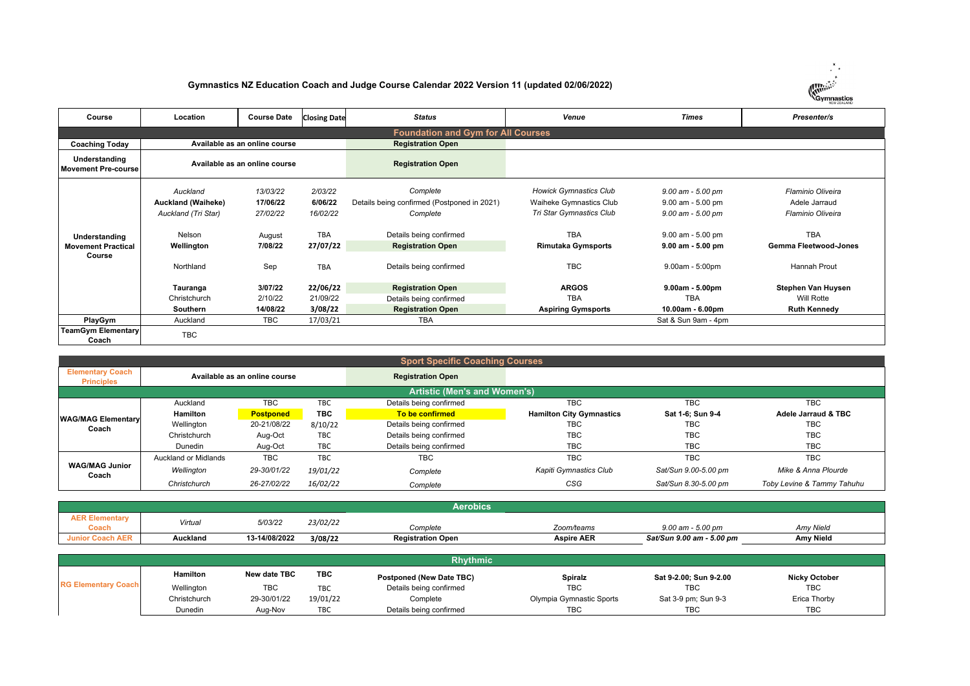## **Gymnastics NZ Education Coach and Judge Course Calendar 2022 Version 11 (updated 02/06/2022)**



| Course                                               | Location                                                     | <b>Course Date</b>               | <b>Closing Date</b>            | <b>Status</b>                                                       | Venue                                                                                | <b>Times</b>                                                            | Presenter/s                                             |
|------------------------------------------------------|--------------------------------------------------------------|----------------------------------|--------------------------------|---------------------------------------------------------------------|--------------------------------------------------------------------------------------|-------------------------------------------------------------------------|---------------------------------------------------------|
|                                                      |                                                              |                                  |                                | <b>Foundation and Gym for All Courses</b>                           |                                                                                      |                                                                         |                                                         |
| <b>Coaching Today</b>                                |                                                              | Available as an online course    |                                | <b>Registration Open</b>                                            |                                                                                      |                                                                         |                                                         |
| Understanding<br><b>Movement Pre-course</b>          |                                                              | Available as an online course    |                                | <b>Registration Open</b>                                            |                                                                                      |                                                                         |                                                         |
|                                                      | Auckland<br><b>Auckland (Waiheke)</b><br>Auckland (Tri Star) | 13/03/22<br>17/06/22<br>27/02/22 | 2/03/22<br>6/06/22<br>16/02/22 | Complete<br>Details being confirmed (Postponed in 2021)<br>Complete | <b>Howick Gymnastics Club</b><br>Waiheke Gymnastics Club<br>Tri Star Gymnastics Club | $9.00$ am - $5.00$ pm<br>$9.00$ am - $5.00$ pm<br>$9.00$ am - $5.00$ pm | Flaminio Oliveira<br>Adele Jarraud<br>Flaminio Oliveira |
| Understanding<br><b>Movement Practical</b><br>Course | Nelson<br>Wellington                                         | August<br>7/08/22                | <b>TBA</b><br>27/07/22         | Details being confirmed<br><b>Registration Open</b>                 | <b>TBA</b><br><b>Rimutaka Gymsports</b>                                              | $9.00$ am - $5.00$ pm<br>$9.00$ am - $5.00$ pm                          | <b>TBA</b><br><b>Gemma Fleetwood-Jones</b>              |
|                                                      | Northland                                                    | Sep                              | <b>TBA</b>                     | Details being confirmed                                             | <b>TBC</b>                                                                           | 9.00am - 5:00pm                                                         | Hannah Prout                                            |
|                                                      | Tauranga                                                     | 3/07/22                          | 22/06/22                       | <b>Registration Open</b>                                            | <b>ARGOS</b>                                                                         | $9.00am - 5.00pm$                                                       | Stephen Van Huysen                                      |
|                                                      | Christchurch<br>Southern                                     | 2/10/22<br>14/08/22              | 21/09/22<br>3/08/22            | Details being confirmed<br><b>Registration Open</b>                 | <b>TBA</b><br><b>Aspiring Gymsports</b>                                              | <b>TBA</b><br>10.00am - 6.00pm                                          | Will Rotte<br><b>Ruth Kennedy</b>                       |
| PlayGym                                              | Auckland                                                     | <b>TBC</b>                       | 17/03/21                       | <b>TBA</b>                                                          |                                                                                      | Sat & Sun 9am - 4pm                                                     |                                                         |
| <b>TeamGym Elementary</b><br>Coach                   | <b>TBC</b>                                                   |                                  |                                |                                                                     |                                                                                      |                                                                         |                                                         |

|                                              |                      |                               |            | <b>Sport Specific Coaching Courses</b> |                                 |                      |                            |
|----------------------------------------------|----------------------|-------------------------------|------------|----------------------------------------|---------------------------------|----------------------|----------------------------|
| <b>Elementary Coach</b><br><b>Principles</b> |                      | Available as an online course |            | <b>Registration Open</b>               |                                 |                      |                            |
|                                              |                      |                               |            | <b>Artistic (Men's and Women's)</b>    |                                 |                      |                            |
|                                              | Auckland             | <b>TBC</b>                    | <b>TBC</b> | Details being confirmed                | <b>TBC</b>                      | <b>TBC</b>           | <b>TBC</b>                 |
| <b>WAG/MAG Elementary</b>                    | <b>Hamilton</b>      | <b>Postponed</b>              | <b>TBC</b> | To be confirmed                        | <b>Hamilton City Gymnastics</b> | Sat 1-6: Sun 9-4     | Adele Jarraud & TBC        |
| Coach                                        | Wellington           | 20-21/08/22                   | 8/10/22    | Details being confirmed                | <b>TBC</b>                      | TBC                  | <b>TBC</b>                 |
|                                              | Christchurch         | Aug-Oct                       | <b>TBC</b> | Details being confirmed                | <b>TBC</b>                      | <b>TBC</b>           | <b>TBC</b>                 |
|                                              | Dunedin              | Aug-Oct                       | <b>TBC</b> | Details being confirmed                | <b>TBC</b>                      | <b>TBC</b>           | <b>TBC</b>                 |
|                                              | Auckland or Midlands | <b>TBC</b>                    | <b>TBC</b> | <b>TBC</b>                             | <b>TBC</b>                      | <b>TBC</b>           | <b>TBC</b>                 |
| <b>WAG/MAG Junior</b><br>Coach               | Wellington           | 29-30/01/22                   | 19/01/22   | Complete                               | Kapiti Gymnastics Club          | Sat/Sun 9.00-5.00 pm | Mike & Anna Plourde        |
|                                              | Christchurch         | 26-27/02/22                   | 16/02/22   | Complete                               | CSG                             | Sat/Sun 8.30-5.00 pm | Toby Levine & Tammy Tahuhu |

|                                | Aerobics |               |          |                          |                   |                           |           |  |  |  |  |  |
|--------------------------------|----------|---------------|----------|--------------------------|-------------------|---------------------------|-----------|--|--|--|--|--|
| <b>AER Elementary</b><br>Coach | Virtual  | 5/03/22       | 23/02/22 | Complete                 | Zoom/teams        | $9.00$ am - 5.00 pm       | Amy Nield |  |  |  |  |  |
| <b>Junior Coach AER</b>        | Auckland | 13-14/08/2022 | 3/08/22  | <b>Registration Open</b> | <b>Aspire AER</b> | Sat/Sun 9.00 am - 5.00 pm | Amv Nield |  |  |  |  |  |

| <b>Rhythmic</b>            |              |              |            |                                 |                          |                        |                      |  |  |  |  |
|----------------------------|--------------|--------------|------------|---------------------------------|--------------------------|------------------------|----------------------|--|--|--|--|
|                            | Hamilton     | New date TBC | <b>TBC</b> | <b>Postponed (New Date TBC)</b> | Spiralz                  | Sat 9-2.00; Sun 9-2.00 | <b>Nicky October</b> |  |  |  |  |
| <b>RG Elementary Coach</b> | Wellington   | <b>TBC</b>   | <b>TBC</b> | Details being confirmed         | <b>TBC</b>               | TBC                    | <b>TBC</b>           |  |  |  |  |
|                            | Christchurch | 29-30/01/22  | 19/01/22   | Complete                        | Olympia Gymnastic Sports | Sat 3-9 pm; Sun 9-3    | Erica Thorby         |  |  |  |  |
|                            | Dunedin      | Aug-Nov      | TBC        | Details being confirmed         | <b>TBC</b>               | <b>TBC</b>             | <b>TBC</b>           |  |  |  |  |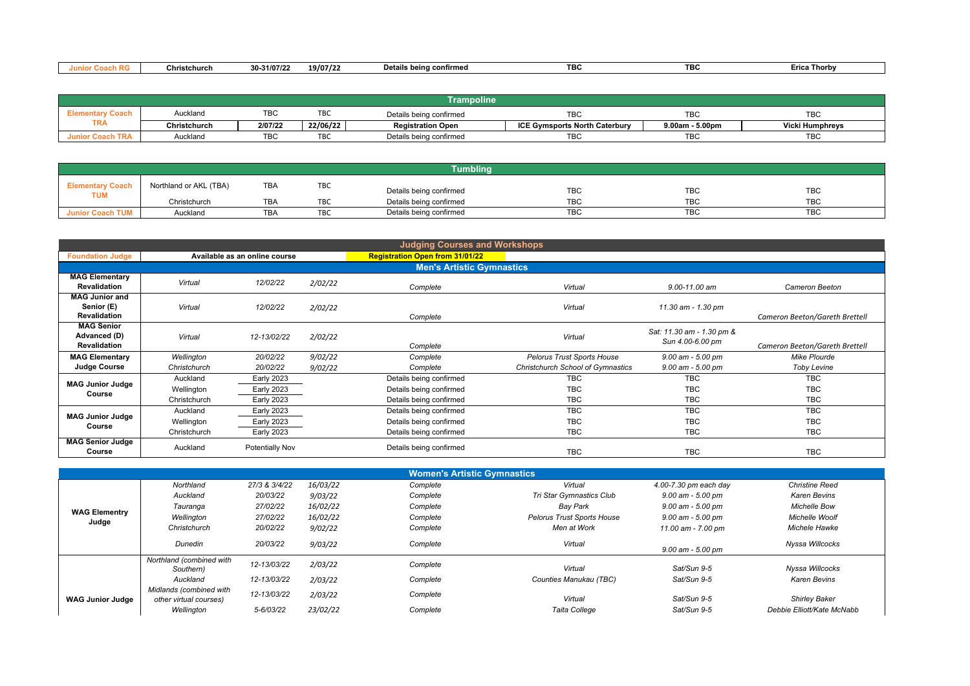| Christchurch | $0 - 31/07/2$ | 19/07/2. | <b>Details beind</b><br>' confirmed | <b>TBC</b> | <b>TDC</b><br>טם ו | Thorby<br>ENC. |
|--------------|---------------|----------|-------------------------------------|------------|--------------------|----------------|

| Trampoline              |              |         |            |                          |                                      |                       |                 |  |  |  |  |
|-------------------------|--------------|---------|------------|--------------------------|--------------------------------------|-----------------------|-----------------|--|--|--|--|
| Elementary Coach        | Auckland     | твс     | TBC        | Details being confirmed  | <b>TBC</b>                           | TBC                   | <b>TBC</b>      |  |  |  |  |
| <b>TRA</b>              | Christchurch | 2/07/22 | 22/06/22   | <b>Registration Open</b> | <b>ICE Gymsports North Caterbury</b> | $9.00$ am - $5.00$ pm | Vicki Humphreys |  |  |  |  |
| <b>Junior Coach TRA</b> | Auckland     | TBC     | <b>TBC</b> | Details being confirmed  | <b>TBC</b>                           | <b>TBC</b>            | <b>TBC</b>      |  |  |  |  |

| Tumblina                              |                        |            |            |                         |            |            |            |  |  |  |  |
|---------------------------------------|------------------------|------------|------------|-------------------------|------------|------------|------------|--|--|--|--|
| <b>Elementary Coach</b><br><b>TUM</b> | Northland or AKL (TBA) | <b>TBA</b> | TBC        | Details being confirmed | <b>TBC</b> | <b>TBC</b> | TBC        |  |  |  |  |
|                                       | Christchurch           | <b>TBA</b> | <b>TBC</b> | Details being confirmed | <b>TBC</b> | <b>TBC</b> | <b>TBC</b> |  |  |  |  |
| <b>Junior Coach TUM</b>               | Auckland               | <b>TBA</b> | TBC        | Details being confirmed | <b>TBC</b> | <b>TBC</b> | <b>TBC</b> |  |  |  |  |

|                                                            |              |                               |         | <b>Judging Courses and Workshops</b>   |                                   |                                               |                                |  |  |  |  |
|------------------------------------------------------------|--------------|-------------------------------|---------|----------------------------------------|-----------------------------------|-----------------------------------------------|--------------------------------|--|--|--|--|
| <b>Foundation Judge</b>                                    |              | Available as an online course |         | <b>Registration Open from 31/01/22</b> |                                   |                                               |                                |  |  |  |  |
| <b>Men's Artistic Gymnastics</b>                           |              |                               |         |                                        |                                   |                                               |                                |  |  |  |  |
| <b>MAG Elementary</b><br><b>Revalidation</b>               | Virtual      | 12/02/22                      | 2/02/22 | Complete                               | Virtual                           | 9.00-11.00 am                                 | Cameron Beeton                 |  |  |  |  |
| <b>MAG Junior and</b><br>Senior (E)<br><b>Revalidation</b> | Virtual      | 12/02/22                      | 2/02/22 | Complete                               | Virtual                           | 11.30 am - 1.30 pm                            | Cameron Beeton/Gareth Brettell |  |  |  |  |
| <b>MAG Senior</b><br>Advanced (D)<br><b>Revalidation</b>   | Virtual      | 12-13/02/22                   | 2/02/22 | Complete                               | Virtual                           | Sat: 11.30 am - 1.30 pm &<br>Sun 4.00-6.00 pm | Cameron Beeton/Gareth Brettell |  |  |  |  |
| <b>MAG Elementary</b>                                      | Wellington   | 20/02/22                      | 9/02/22 | Complete                               | <b>Pelorus Trust Sports House</b> | $9.00$ am - $5.00$ pm                         | Mike Plourde                   |  |  |  |  |
| <b>Judge Course</b>                                        | Christchurch | 20/02/22                      | 9/02/22 | Complete                               | Christchurch School of Gymnastics | $9.00$ am - 5.00 pm                           | Toby Levine                    |  |  |  |  |
|                                                            | Auckland     | <b>Early 2023</b>             |         | Details being confirmed                | <b>TBC</b>                        | <b>TBC</b>                                    | <b>TBC</b>                     |  |  |  |  |
| <b>MAG Junior Judge</b><br>Course                          | Wellington   | <b>Early 2023</b>             |         | Details being confirmed                | <b>TBC</b>                        | <b>TBC</b>                                    | <b>TBC</b>                     |  |  |  |  |
|                                                            | Christchurch | <b>Early 2023</b>             |         | Details being confirmed                | <b>TBC</b>                        | <b>TBC</b>                                    | <b>TBC</b>                     |  |  |  |  |
| <b>MAG Junior Judge</b>                                    | Auckland     | <b>Early 2023</b>             |         | Details being confirmed                | <b>TBC</b>                        | <b>TBC</b>                                    | <b>TBC</b>                     |  |  |  |  |
| Course                                                     | Wellington   | <b>Early 2023</b>             |         | Details being confirmed                | <b>TBC</b>                        | <b>TBC</b>                                    | <b>TBC</b>                     |  |  |  |  |
|                                                            | Christchurch | <b>Early 2023</b>             |         | Details being confirmed                | <b>TBC</b>                        | <b>TBC</b>                                    | <b>TBC</b>                     |  |  |  |  |
| <b>MAG Senior Judge</b><br>Course                          | Auckland     | Potentially Nov               |         | Details being confirmed                | <b>TBC</b>                        | <b>TBC</b>                                    | <b>TBC</b>                     |  |  |  |  |

|                               |                                       |               |          | <b>Women's Artistic Gymnastics</b> |                                   |                       |                            |
|-------------------------------|---------------------------------------|---------------|----------|------------------------------------|-----------------------------------|-----------------------|----------------------------|
|                               | Northland                             | 27/3 & 3/4/22 | 16/03/22 | Complete                           | Virtual                           | 4.00-7.30 pm each day | <b>Christine Reed</b>      |
| <b>WAG Elementry</b><br>Judge | Auckland                              | 20/03/22      | 9/03/22  | Complete                           | Tri Star Gymnastics Club          | $9.00$ am - 5.00 pm   | Karen Bevins               |
|                               | Tauranga                              | 27/02/22      | 16/02/22 | Complete                           | Bay Park                          | 9.00 am - 5.00 pm     | <b>Michelle Bow</b>        |
|                               | Wellinaton                            | 27/02/22      | 16/02/22 | Complete                           | <b>Pelorus Trust Sports House</b> | $9.00$ am - 5.00 pm   | Michelle Woolf             |
|                               | Christchurch                          | 20/02/22      | 9/02/22  | Complete                           | Men at Work                       | 11.00 am - 7.00 pm    | Michele Hawke              |
|                               | Dunedin                               | 20/03/22      | 9/03/22  | Complete                           | Virtual                           | $9.00$ am - $5.00$ pm | Nyssa Willcocks            |
|                               | Northland (combined with<br>Southern) | 12-13/03/22   | 2/03/22  | Complete                           | Virtual                           | Sat/Sun 9-5           | Nyssa Willcocks            |
|                               | Auckland                              | 12-13/03/22   | 2/03/22  | Complete                           | Counties Manukau (TBC)            | Sat/Sun 9-5           | <b>Karen Bevins</b>        |
|                               | Midlands (combined with               | 12-13/03/22   | 2/03/22  | Complete                           |                                   |                       |                            |
| <b>WAG Junior Judge</b>       | other virtual courses)                |               |          |                                    | Virtual                           | Sat/Sun 9-5           | <b>Shirley Baker</b>       |
|                               | Wellinaton                            | 5-6/03/22     | 23/02/22 | Complete                           | Taita College                     | Sat/Sun 9-5           | Debbie Elliott/Kate McNabb |